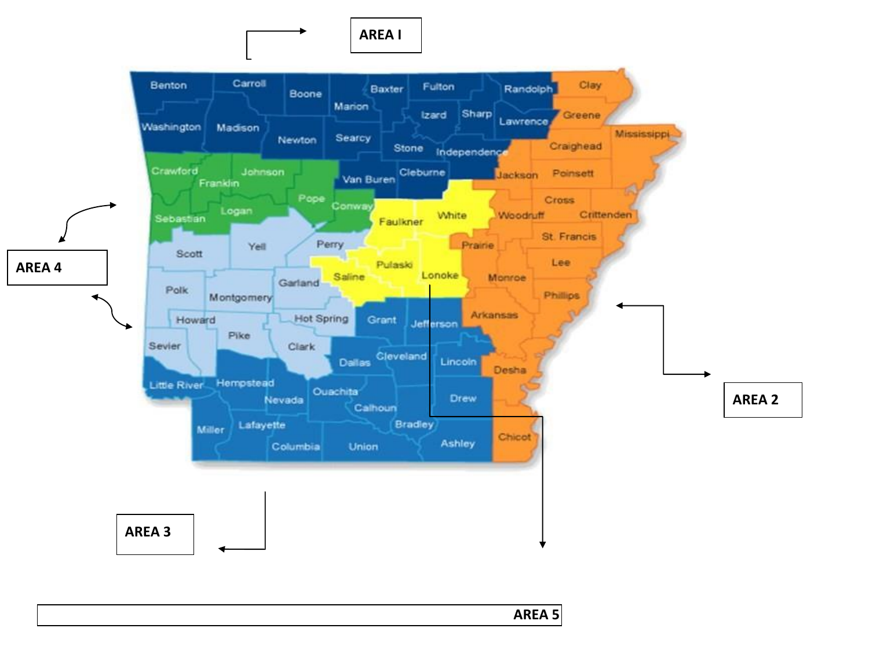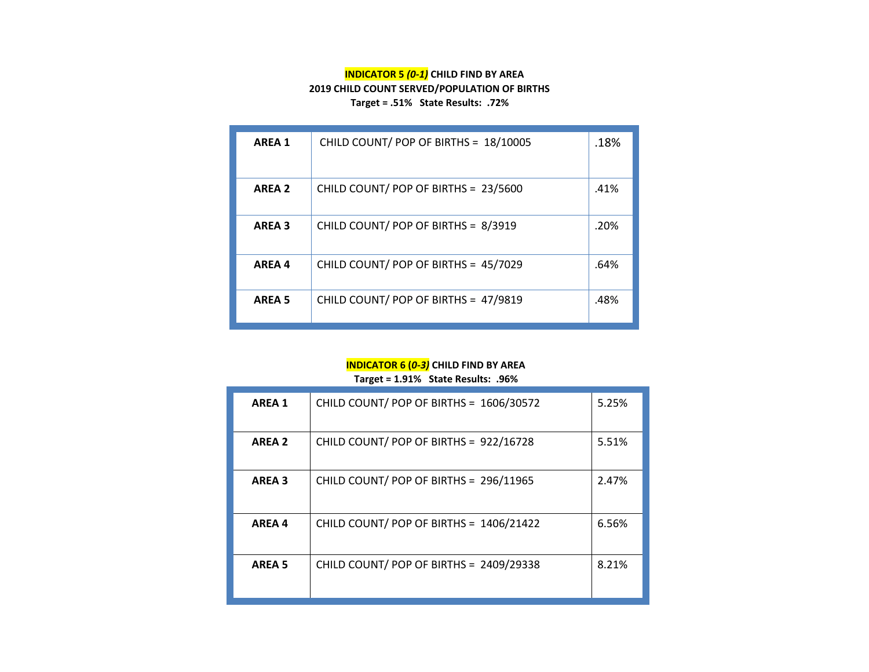### **INDICATOR 5** *(0-1)* **CHILD FIND BY AREA 2019 CHILD COUNT SERVED/POPULATION OF BIRTHS Target = .51% State Results: .72%**

| <b>AREA 1</b> | CHILD COUNT/ POP OF BIRTHS = 18/10005 | .18% |
|---------------|---------------------------------------|------|
| <b>AREA 2</b> | CHILD COUNT/ POP OF BIRTHS = 23/5600  | .41% |
| <b>AREA 3</b> | CHILD COUNT/ POP OF BIRTHS = 8/3919   | .20% |
| <b>AREA 4</b> | CHILD COUNT/ POP OF BIRTHS = 45/7029  | .64% |
| <b>AREA 5</b> | CHILD COUNT/ POP OF BIRTHS = 47/9819  | .48% |

#### **INDICATOR 6 (***0-3)* **CHILD FIND BY AREA Target = 1.91% State Results: .96%**

| <b>AREA 1</b> | CHILD COUNT/ POP OF BIRTHS = 1606/30572 | 5.25% |
|---------------|-----------------------------------------|-------|
| <b>AREA 2</b> | CHILD COUNT/ POP OF BIRTHS = 922/16728  | 5.51% |
| <b>AREA 3</b> | CHILD COUNT/ POP OF BIRTHS = 296/11965  | 2.47% |
| <b>AREA4</b>  | CHILD COUNT/ POP OF BIRTHS = 1406/21422 | 6.56% |
| <b>AREA 5</b> | CHILD COUNT/ POP OF BIRTHS = 2409/29338 | 8.21% |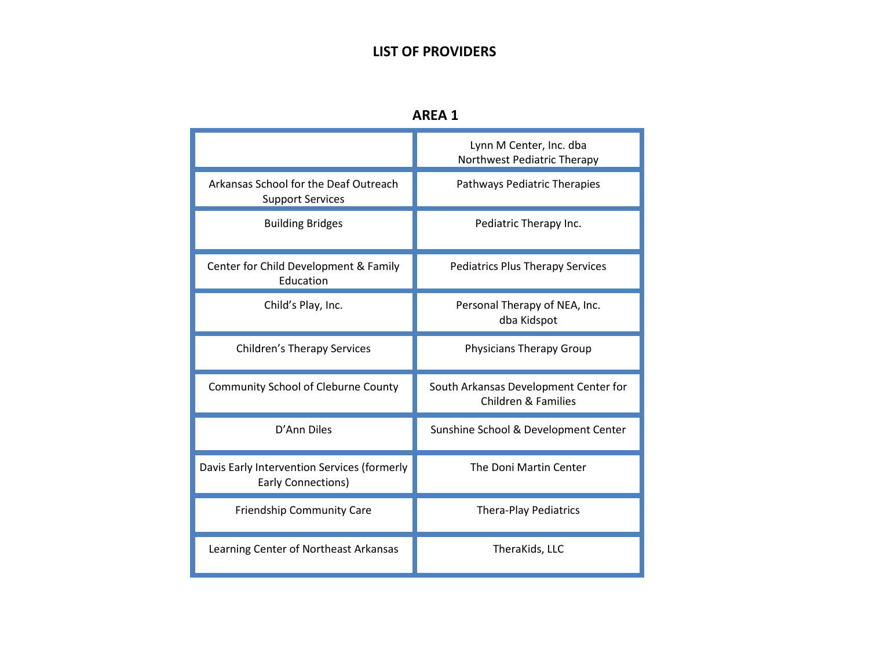### **LIST OF PROVIDERS**

| NRE. |  |
|------|--|
|------|--|

|                                                                          | Lynn M Center, Inc. dba<br>Northwest Pediatric Therapy                  |
|--------------------------------------------------------------------------|-------------------------------------------------------------------------|
| Arkansas School for the Deaf Outreach<br><b>Support Services</b>         | Pathways Pediatric Therapies                                            |
| <b>Building Bridges</b>                                                  | Pediatric Therapy Inc.                                                  |
| Center for Child Development & Family<br>Education                       | <b>Pediatrics Plus Therapy Services</b>                                 |
| Child's Play, Inc.                                                       | Personal Therapy of NEA, Inc.<br>dba Kidspot                            |
| <b>Children's Therapy Services</b>                                       | <b>Physicians Therapy Group</b>                                         |
| <b>Community School of Cleburne County</b>                               | South Arkansas Development Center for<br><b>Children &amp; Families</b> |
| D'Ann Diles                                                              | Sunshine School & Development Center                                    |
| Davis Early Intervention Services (formerly<br><b>Early Connections)</b> | The Doni Martin Center                                                  |
| <b>Friendship Community Care</b>                                         | <b>Thera-Play Pediatrics</b>                                            |
| Learning Center of Northeast Arkansas                                    | TheraKids, LLC                                                          |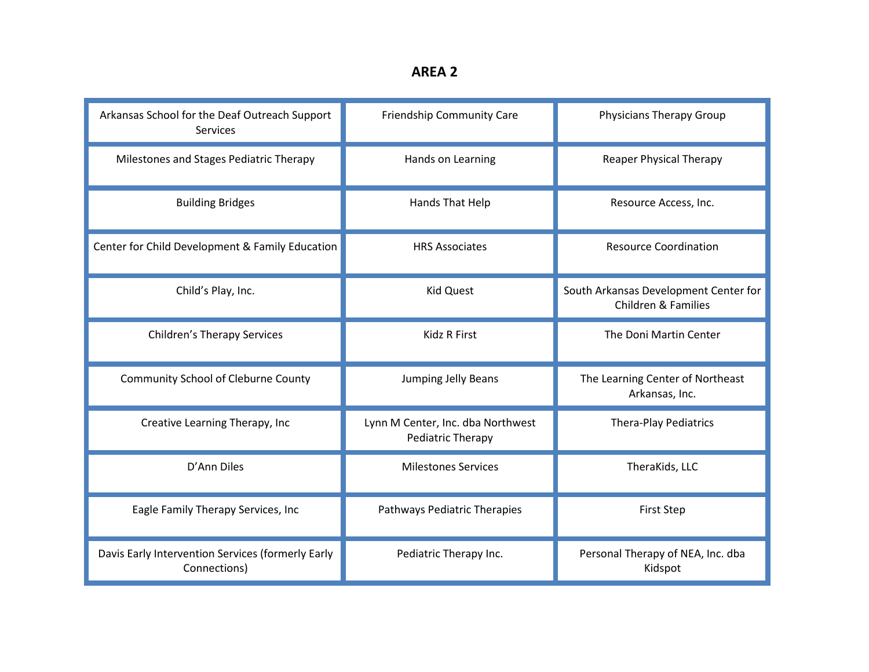| Arkansas School for the Deaf Outreach Support<br><b>Services</b>  | Friendship Community Care                              | Physicians Therapy Group                                                |
|-------------------------------------------------------------------|--------------------------------------------------------|-------------------------------------------------------------------------|
| Milestones and Stages Pediatric Therapy                           | Hands on Learning                                      | <b>Reaper Physical Therapy</b>                                          |
| <b>Building Bridges</b>                                           | Hands That Help                                        | Resource Access, Inc.                                                   |
| Center for Child Development & Family Education                   | <b>HRS Associates</b>                                  | <b>Resource Coordination</b>                                            |
| Child's Play, Inc.                                                | <b>Kid Quest</b>                                       | South Arkansas Development Center for<br><b>Children &amp; Families</b> |
| <b>Children's Therapy Services</b>                                | <b>Kidz R First</b>                                    | The Doni Martin Center                                                  |
| <b>Community School of Cleburne County</b>                        | Jumping Jelly Beans                                    | The Learning Center of Northeast<br>Arkansas, Inc.                      |
| Creative Learning Therapy, Inc                                    | Lynn M Center, Inc. dba Northwest<br>Pediatric Therapy | <b>Thera-Play Pediatrics</b>                                            |
| D'Ann Diles                                                       | <b>Milestones Services</b>                             | TheraKids, LLC                                                          |
| Eagle Family Therapy Services, Inc                                | Pathways Pediatric Therapies                           | <b>First Step</b>                                                       |
| Davis Early Intervention Services (formerly Early<br>Connections) | Pediatric Therapy Inc.                                 | Personal Therapy of NEA, Inc. dba<br>Kidspot                            |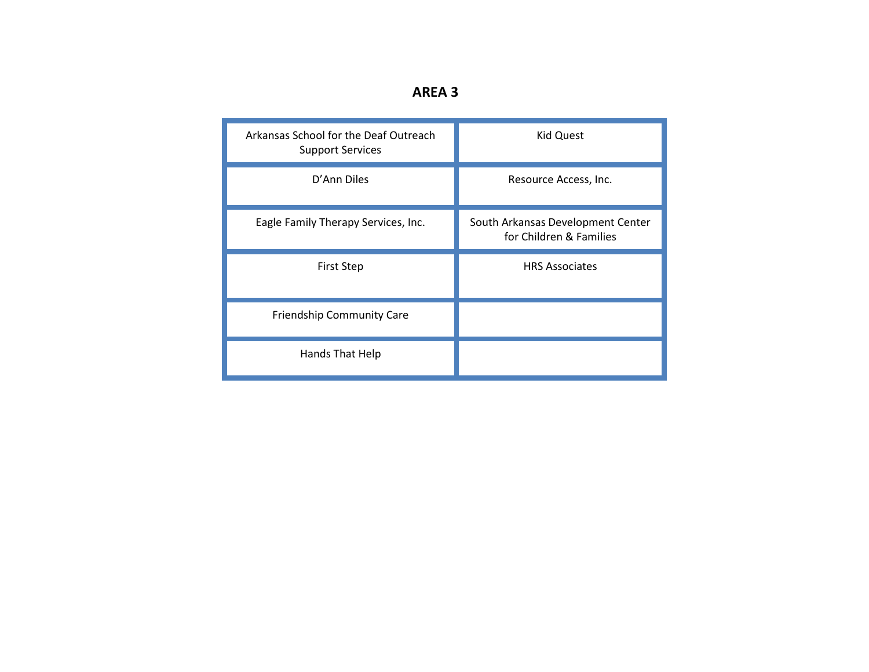| п<br>w<br>ч | × |
|-------------|---|
|-------------|---|

| Arkansas School for the Deaf Outreach<br><b>Support Services</b> | <b>Kid Quest</b>                                             |
|------------------------------------------------------------------|--------------------------------------------------------------|
| D'Ann Diles                                                      | Resource Access, Inc.                                        |
| Eagle Family Therapy Services, Inc.                              | South Arkansas Development Center<br>for Children & Families |
|                                                                  |                                                              |
| <b>First Step</b>                                                | <b>HRS Associates</b>                                        |
| <b>Friendship Community Care</b>                                 |                                                              |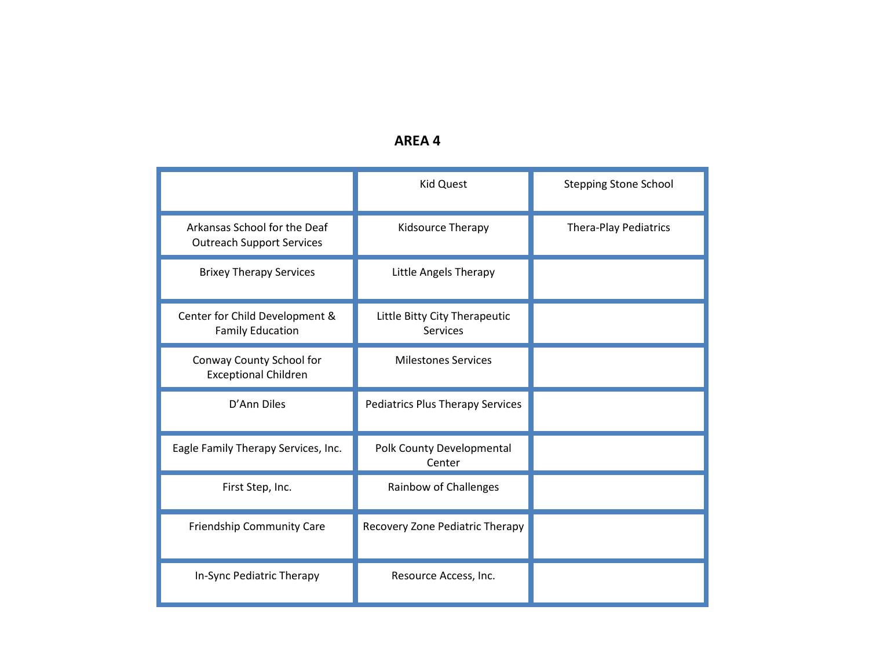## **AREA 4**

|                                                                  | <b>Kid Quest</b>                                 | <b>Stepping Stone School</b> |
|------------------------------------------------------------------|--------------------------------------------------|------------------------------|
| Arkansas School for the Deaf<br><b>Outreach Support Services</b> | Kidsource Therapy                                | <b>Thera-Play Pediatrics</b> |
| <b>Brixey Therapy Services</b>                                   | Little Angels Therapy                            |                              |
| Center for Child Development &<br><b>Family Education</b>        | Little Bitty City Therapeutic<br><b>Services</b> |                              |
| Conway County School for<br><b>Exceptional Children</b>          | <b>Milestones Services</b>                       |                              |
| D'Ann Diles                                                      | <b>Pediatrics Plus Therapy Services</b>          |                              |
| Eagle Family Therapy Services, Inc.                              | Polk County Developmental<br>Center              |                              |
| First Step, Inc.                                                 | Rainbow of Challenges                            |                              |
| Friendship Community Care                                        | Recovery Zone Pediatric Therapy                  |                              |
| In-Sync Pediatric Therapy                                        | Resource Access, Inc.                            |                              |